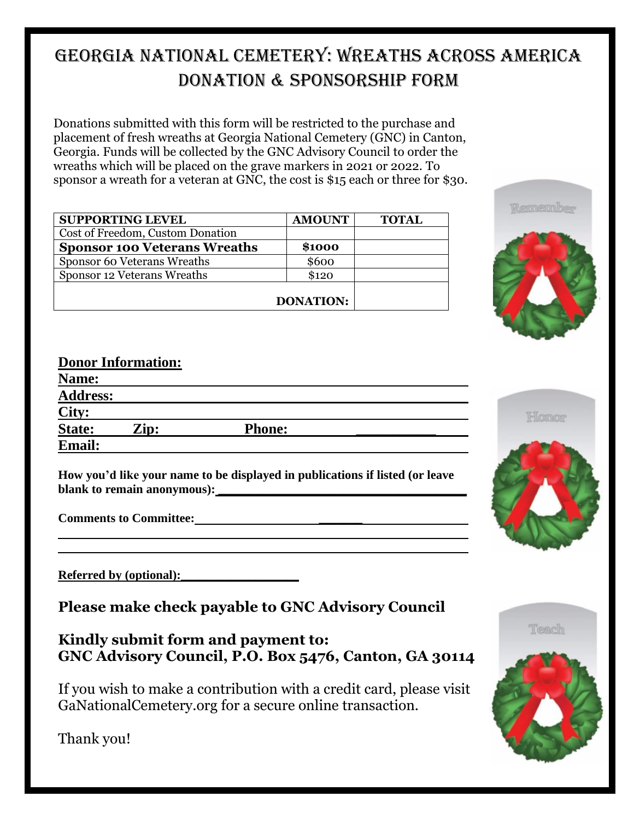## GEORGIA NATIONAL CEMETERY: WREATHS ACROSS AMERICA DONATION & SPONSORSHIP FORM

Donations submitted with this form will be restricted to the purchase and placement of fresh wreaths at Georgia National Cemetery (GNC) in Canton, Georgia. Funds will be collected by the GNC Advisory Council to order the wreaths which will be placed on the grave markers in 2021 or 2022. To sponsor a wreath for a veteran at GNC, the cost is \$15 each or three for \$30.

| <b>SUPPORTING LEVEL</b>             | <b>AMOUNT</b> | <b>TOTAL</b> |
|-------------------------------------|---------------|--------------|
| Cost of Freedom, Custom Donation    |               |              |
| <b>Sponsor 100 Veterans Wreaths</b> | \$1000        |              |
| Sponsor 60 Veterans Wreaths         | \$600         |              |
| Sponsor 12 Veterans Wreaths         | \$120         |              |
| <b>DONATION:</b>                    |               |              |



## **Donor Information:**

| Name:           |      |               |  |
|-----------------|------|---------------|--|
| <b>Address:</b> |      |               |  |
| City:           |      |               |  |
| <b>State:</b>   | Zip: | <b>Phone:</b> |  |
| <b>Email:</b>   |      |               |  |

**How you'd like your name to be displayed in publications if listed (or leave**  blank to remain anonymous):

| <b>Referred by (optional):</b> |  |  |
|--------------------------------|--|--|
|                                |  |  |

**Please make check payable to GNC Advisory Council**

**Kindly submit form and payment to: GNC Advisory Council, P.O. Box 5476, Canton, GA 30114**

If you wish to make a contribution with a credit card, please visit GaNationalCemetery.org for a secure online transaction.